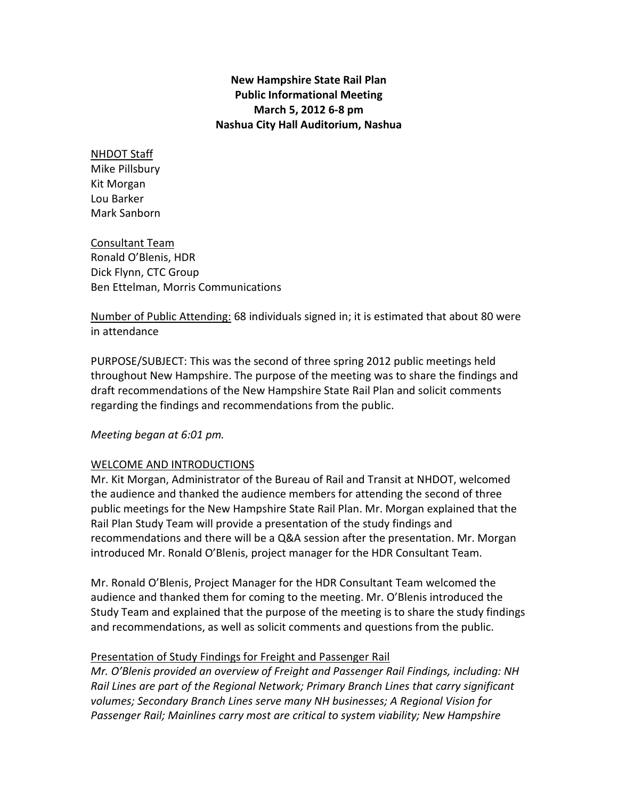# New Hampshire State Rail Plan Public Informational Meeting March 5, 2012 6-8 pm Nashua City Hall Auditorium, Nashua

#### NHDOT Staff Mike Pillsbury Kit Morgan Lou Barker Mark Sanborn

Consultant Team Ronald O'Blenis, HDR Dick Flynn, CTC Group Ben Ettelman, Morris Communications

Number of Public Attending: 68 individuals signed in; it is estimated that about 80 were in attendance

PURPOSE/SUBJECT: This was the second of three spring 2012 public meetings held throughout New Hampshire. The purpose of the meeting was to share the findings and draft recommendations of the New Hampshire State Rail Plan and solicit comments regarding the findings and recommendations from the public.

# Meeting began at 6:01 pm.

# WELCOME AND INTRODUCTIONS

Mr. Kit Morgan, Administrator of the Bureau of Rail and Transit at NHDOT, welcomed the audience and thanked the audience members for attending the second of three public meetings for the New Hampshire State Rail Plan. Mr. Morgan explained that the Rail Plan Study Team will provide a presentation of the study findings and recommendations and there will be a Q&A session after the presentation. Mr. Morgan introduced Mr. Ronald O'Blenis, project manager for the HDR Consultant Team.

Mr. Ronald O'Blenis, Project Manager for the HDR Consultant Team welcomed the audience and thanked them for coming to the meeting. Mr. O'Blenis introduced the Study Team and explained that the purpose of the meeting is to share the study findings and recommendations, as well as solicit comments and questions from the public.

# Presentation of Study Findings for Freight and Passenger Rail

Mr. O'Blenis provided an overview of Freight and Passenger Rail Findings, including: NH Rail Lines are part of the Regional Network; Primary Branch Lines that carry significant volumes; Secondary Branch Lines serve many NH businesses; A Regional Vision for Passenger Rail; Mainlines carry most are critical to system viability; New Hampshire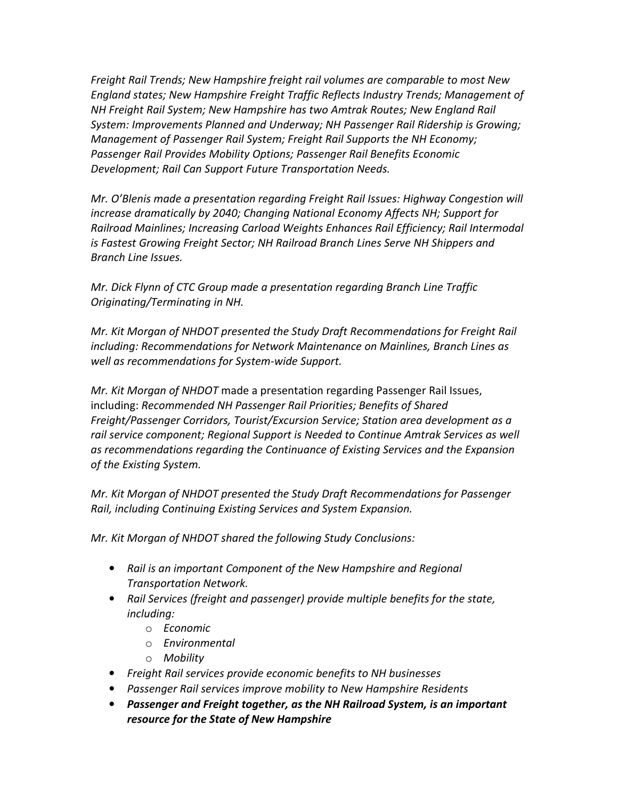Freight Rail Trends; New Hampshire freight rail volumes are comparable to most New England states; New Hampshire Freight Traffic Reflects Industry Trends; Management of NH Freight Rail System; New Hampshire has two Amtrak Routes; New England Rail System: Improvements Planned and Underway; NH Passenger Rail Ridership is Growing; Management of Passenger Rail System; Freight Rail Supports the NH Economy; Passenger Rail Provides Mobility Options; Passenger Rail Benefits Economic Development; Rail Can Support Future Transportation Needs.

Mr. O'Blenis made a presentation regarding Freight Rail Issues: Highway Congestion will increase dramatically by 2040; Changing National Economy Affects NH; Support for Railroad Mainlines; Increasing Carload Weights Enhances Rail Efficiency; Rail Intermodal is Fastest Growing Freight Sector; NH Railroad Branch Lines Serve NH Shippers and Branch Line Issues.

Mr. Dick Flynn of CTC Group made a presentation regarding Branch Line Traffic Originating/Terminating in NH.

Mr. Kit Morgan of NHDOT presented the Study Draft Recommendations for Freight Rail including: Recommendations for Network Maintenance on Mainlines, Branch Lines as well as recommendations for System-wide Support.

Mr. Kit Morgan of NHDOT made a presentation regarding Passenger Rail Issues, including: Recommended NH Passenger Rail Priorities; Benefits of Shared Freight/Passenger Corridors, Tourist/Excursion Service; Station area development as a rail service component; Regional Support is Needed to Continue Amtrak Services as well as recommendations regarding the Continuance of Existing Services and the Expansion of the Existing System.

Mr. Kit Morgan of NHDOT presented the Study Draft Recommendations for Passenger Rail, including Continuing Existing Services and System Expansion.

Mr. Kit Morgan of NHDOT shared the following Study Conclusions:

- Rail is an important Component of the New Hampshire and Regional Transportation Network.
- Rail Services (freight and passenger) provide multiple benefits for the state, including:
	- o Economic
	- o Environmental
	- o Mobility
- Freight Rail services provide economic benefits to NH businesses
- Passenger Rail services improve mobility to New Hampshire Residents
- Passenger and Freight together, as the NH Railroad System, is an important resource for the State of New Hampshire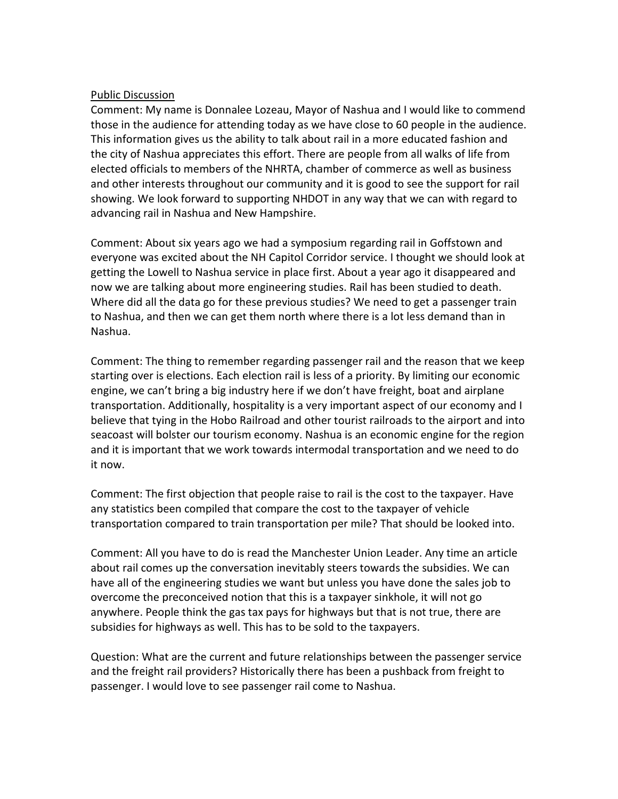#### Public Discussion

Comment: My name is Donnalee Lozeau, Mayor of Nashua and I would like to commend those in the audience for attending today as we have close to 60 people in the audience. This information gives us the ability to talk about rail in a more educated fashion and the city of Nashua appreciates this effort. There are people from all walks of life from elected officials to members of the NHRTA, chamber of commerce as well as business and other interests throughout our community and it is good to see the support for rail showing. We look forward to supporting NHDOT in any way that we can with regard to advancing rail in Nashua and New Hampshire.

Comment: About six years ago we had a symposium regarding rail in Goffstown and everyone was excited about the NH Capitol Corridor service. I thought we should look at getting the Lowell to Nashua service in place first. About a year ago it disappeared and now we are talking about more engineering studies. Rail has been studied to death. Where did all the data go for these previous studies? We need to get a passenger train to Nashua, and then we can get them north where there is a lot less demand than in Nashua.

Comment: The thing to remember regarding passenger rail and the reason that we keep starting over is elections. Each election rail is less of a priority. By limiting our economic engine, we can't bring a big industry here if we don't have freight, boat and airplane transportation. Additionally, hospitality is a very important aspect of our economy and I believe that tying in the Hobo Railroad and other tourist railroads to the airport and into seacoast will bolster our tourism economy. Nashua is an economic engine for the region and it is important that we work towards intermodal transportation and we need to do it now.

Comment: The first objection that people raise to rail is the cost to the taxpayer. Have any statistics been compiled that compare the cost to the taxpayer of vehicle transportation compared to train transportation per mile? That should be looked into.

Comment: All you have to do is read the Manchester Union Leader. Any time an article about rail comes up the conversation inevitably steers towards the subsidies. We can have all of the engineering studies we want but unless you have done the sales job to overcome the preconceived notion that this is a taxpayer sinkhole, it will not go anywhere. People think the gas tax pays for highways but that is not true, there are subsidies for highways as well. This has to be sold to the taxpayers.

Question: What are the current and future relationships between the passenger service and the freight rail providers? Historically there has been a pushback from freight to passenger. I would love to see passenger rail come to Nashua.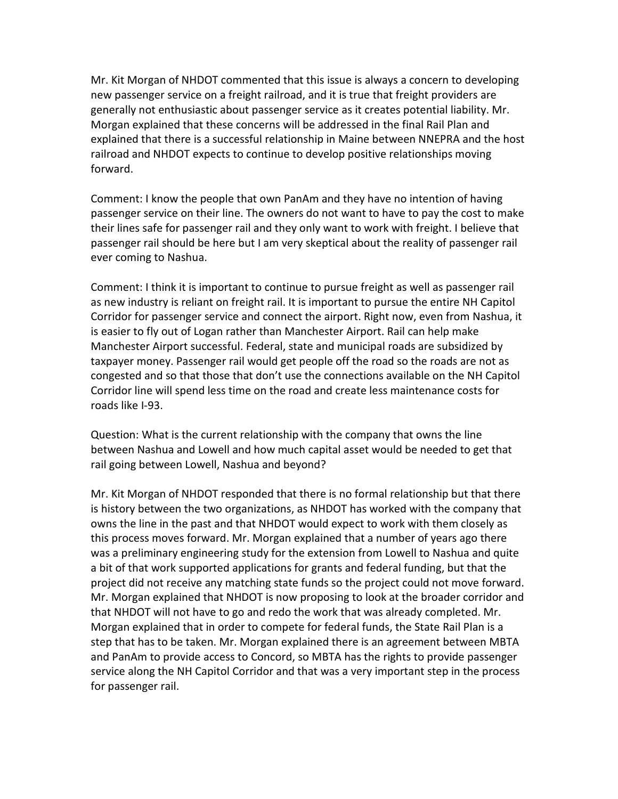Mr. Kit Morgan of NHDOT commented that this issue is always a concern to developing new passenger service on a freight railroad, and it is true that freight providers are generally not enthusiastic about passenger service as it creates potential liability. Mr. Morgan explained that these concerns will be addressed in the final Rail Plan and explained that there is a successful relationship in Maine between NNEPRA and the host railroad and NHDOT expects to continue to develop positive relationships moving forward.

Comment: I know the people that own PanAm and they have no intention of having passenger service on their line. The owners do not want to have to pay the cost to make their lines safe for passenger rail and they only want to work with freight. I believe that passenger rail should be here but I am very skeptical about the reality of passenger rail ever coming to Nashua.

Comment: I think it is important to continue to pursue freight as well as passenger rail as new industry is reliant on freight rail. It is important to pursue the entire NH Capitol Corridor for passenger service and connect the airport. Right now, even from Nashua, it is easier to fly out of Logan rather than Manchester Airport. Rail can help make Manchester Airport successful. Federal, state and municipal roads are subsidized by taxpayer money. Passenger rail would get people off the road so the roads are not as congested and so that those that don't use the connections available on the NH Capitol Corridor line will spend less time on the road and create less maintenance costs for roads like I-93.

Question: What is the current relationship with the company that owns the line between Nashua and Lowell and how much capital asset would be needed to get that rail going between Lowell, Nashua and beyond?

Mr. Kit Morgan of NHDOT responded that there is no formal relationship but that there is history between the two organizations, as NHDOT has worked with the company that owns the line in the past and that NHDOT would expect to work with them closely as this process moves forward. Mr. Morgan explained that a number of years ago there was a preliminary engineering study for the extension from Lowell to Nashua and quite a bit of that work supported applications for grants and federal funding, but that the project did not receive any matching state funds so the project could not move forward. Mr. Morgan explained that NHDOT is now proposing to look at the broader corridor and that NHDOT will not have to go and redo the work that was already completed. Mr. Morgan explained that in order to compete for federal funds, the State Rail Plan is a step that has to be taken. Mr. Morgan explained there is an agreement between MBTA and PanAm to provide access to Concord, so MBTA has the rights to provide passenger service along the NH Capitol Corridor and that was a very important step in the process for passenger rail.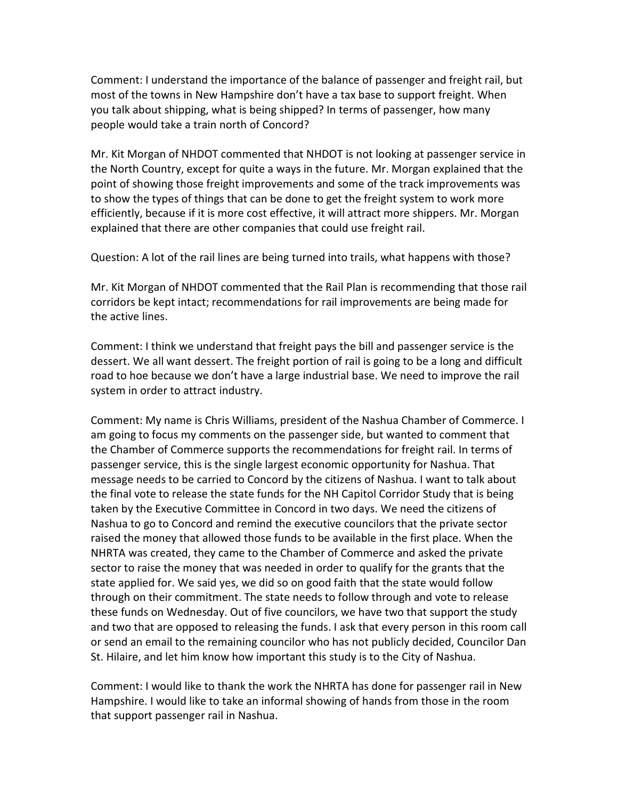Comment: I understand the importance of the balance of passenger and freight rail, but most of the towns in New Hampshire don't have a tax base to support freight. When you talk about shipping, what is being shipped? In terms of passenger, how many people would take a train north of Concord?

Mr. Kit Morgan of NHDOT commented that NHDOT is not looking at passenger service in the North Country, except for quite a ways in the future. Mr. Morgan explained that the point of showing those freight improvements and some of the track improvements was to show the types of things that can be done to get the freight system to work more efficiently, because if it is more cost effective, it will attract more shippers. Mr. Morgan explained that there are other companies that could use freight rail.

Question: A lot of the rail lines are being turned into trails, what happens with those?

Mr. Kit Morgan of NHDOT commented that the Rail Plan is recommending that those rail corridors be kept intact; recommendations for rail improvements are being made for the active lines.

Comment: I think we understand that freight pays the bill and passenger service is the dessert. We all want dessert. The freight portion of rail is going to be a long and difficult road to hoe because we don't have a large industrial base. We need to improve the rail system in order to attract industry.

Comment: My name is Chris Williams, president of the Nashua Chamber of Commerce. I am going to focus my comments on the passenger side, but wanted to comment that the Chamber of Commerce supports the recommendations for freight rail. In terms of passenger service, this is the single largest economic opportunity for Nashua. That message needs to be carried to Concord by the citizens of Nashua. I want to talk about the final vote to release the state funds for the NH Capitol Corridor Study that is being taken by the Executive Committee in Concord in two days. We need the citizens of Nashua to go to Concord and remind the executive councilors that the private sector raised the money that allowed those funds to be available in the first place. When the NHRTA was created, they came to the Chamber of Commerce and asked the private sector to raise the money that was needed in order to qualify for the grants that the state applied for. We said yes, we did so on good faith that the state would follow through on their commitment. The state needs to follow through and vote to release these funds on Wednesday. Out of five councilors, we have two that support the study and two that are opposed to releasing the funds. I ask that every person in this room call or send an email to the remaining councilor who has not publicly decided, Councilor Dan St. Hilaire, and let him know how important this study is to the City of Nashua.

Comment: I would like to thank the work the NHRTA has done for passenger rail in New Hampshire. I would like to take an informal showing of hands from those in the room that support passenger rail in Nashua.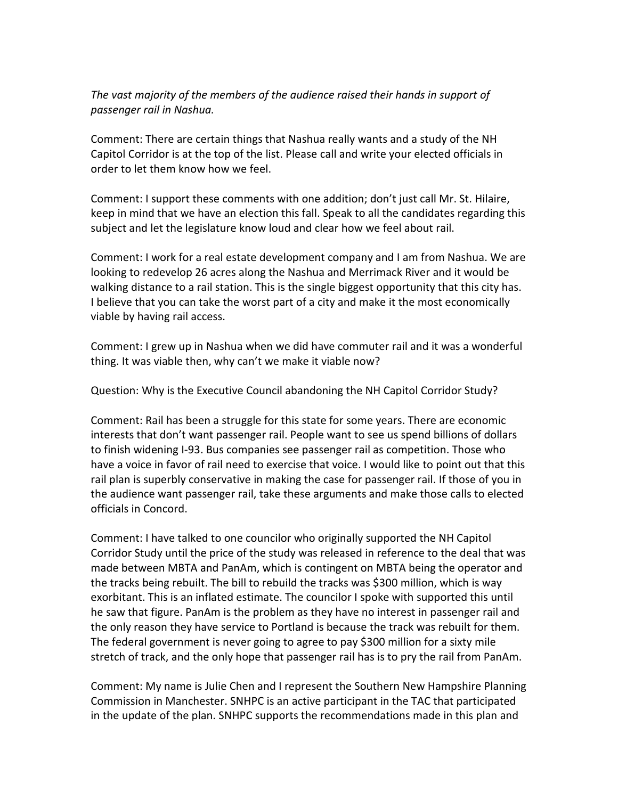#### The vast majority of the members of the audience raised their hands in support of passenger rail in Nashua.

Comment: There are certain things that Nashua really wants and a study of the NH Capitol Corridor is at the top of the list. Please call and write your elected officials in order to let them know how we feel.

Comment: I support these comments with one addition; don't just call Mr. St. Hilaire, keep in mind that we have an election this fall. Speak to all the candidates regarding this subject and let the legislature know loud and clear how we feel about rail.

Comment: I work for a real estate development company and I am from Nashua. We are looking to redevelop 26 acres along the Nashua and Merrimack River and it would be walking distance to a rail station. This is the single biggest opportunity that this city has. I believe that you can take the worst part of a city and make it the most economically viable by having rail access.

Comment: I grew up in Nashua when we did have commuter rail and it was a wonderful thing. It was viable then, why can't we make it viable now?

Question: Why is the Executive Council abandoning the NH Capitol Corridor Study?

Comment: Rail has been a struggle for this state for some years. There are economic interests that don't want passenger rail. People want to see us spend billions of dollars to finish widening I-93. Bus companies see passenger rail as competition. Those who have a voice in favor of rail need to exercise that voice. I would like to point out that this rail plan is superbly conservative in making the case for passenger rail. If those of you in the audience want passenger rail, take these arguments and make those calls to elected officials in Concord.

Comment: I have talked to one councilor who originally supported the NH Capitol Corridor Study until the price of the study was released in reference to the deal that was made between MBTA and PanAm, which is contingent on MBTA being the operator and the tracks being rebuilt. The bill to rebuild the tracks was \$300 million, which is way exorbitant. This is an inflated estimate. The councilor I spoke with supported this until he saw that figure. PanAm is the problem as they have no interest in passenger rail and the only reason they have service to Portland is because the track was rebuilt for them. The federal government is never going to agree to pay \$300 million for a sixty mile stretch of track, and the only hope that passenger rail has is to pry the rail from PanAm.

Comment: My name is Julie Chen and I represent the Southern New Hampshire Planning Commission in Manchester. SNHPC is an active participant in the TAC that participated in the update of the plan. SNHPC supports the recommendations made in this plan and